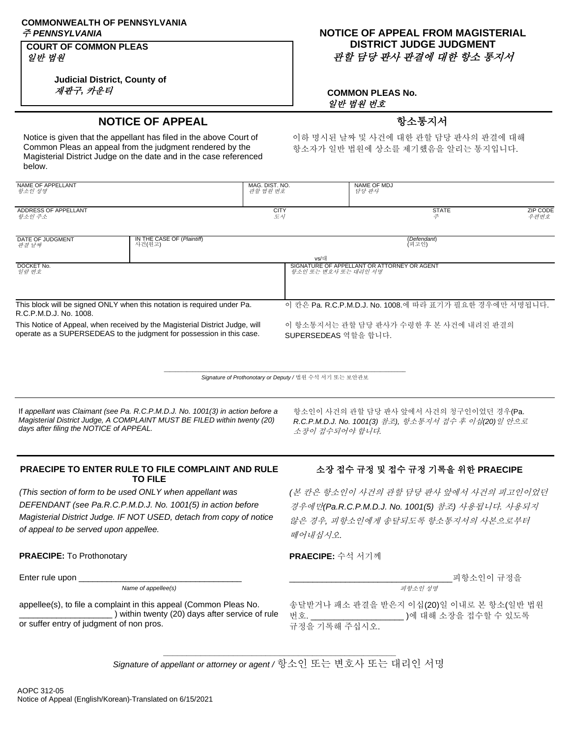# **COMMONWEALTH OF PENNSYLVANIA**

#### **COURT OF COMMON PLEAS** 일반 법원

**Judicial District, County of** 재판구*,* 카운티

### 주 *PENNSYLVANIA* **NOTICE OF APPEAL FROM MAGISTERIAL DISTRICT JUDGE JUDGMENT** 관할 담당 판사 판결에 대한 항소 통지서

**COMMON PLEAS No.** 일반 법원 번호

## **NOTICE OF APPEAL ACCOUNTING A OF APPEAL**

Notice is given that the appellant has filed in the above Court of Common Pleas an appeal from the judgment rendered by the Magisterial District Judge on the date and in the case referenced below.

이하 명시된 날짜 및 사건에 대한 관할 담당 판사의 판결에 대해 항소자가 일반 법원에 상소를 제기했음을 알리는 통지입니다.

| NAME OF APPELLANT<br>항소인 성명<br>ADDRESS OF APPELLANT<br>항소 <i>인 주소</i>                                                                                 |                                                                         | MAG. DIST. NO.<br>관할 법원 번호 | <b>NAME OF MDJ</b><br>담당 관사                                         |                         |  |  |
|-------------------------------------------------------------------------------------------------------------------------------------------------------|-------------------------------------------------------------------------|----------------------------|---------------------------------------------------------------------|-------------------------|--|--|
|                                                                                                                                                       |                                                                         | <b>CITY</b><br>도시          | <b>STATE</b><br>주                                                   | <b>ZIP CODE</b><br>우편번호 |  |  |
| DATE OF JUDGMENT<br>관결 날짜                                                                                                                             | IN THE CASE OF (Plaintiff)<br>사건(원고)                                    |                            | ( <i>Defendant</i> )<br>(피고인)                                       |                         |  |  |
| DOCKET No.<br>일람 번호                                                                                                                                   |                                                                         | vs/대                       | SIGNATURE OF APPELLANT OR ATTORNEY OR AGENT<br>항소인 또는 변호사 또는 대리인 서명 |                         |  |  |
| R.C.P.M.D.J. No. 1008.                                                                                                                                | This block will be signed ONLY when this notation is required under Pa. |                            | 이 칸은 Pa. R.C.P.M.D.J. No. 1008.에 따라 표기가 필요한 경우에만 서명됩니다.             |                         |  |  |
| This Notice of Appeal, when received by the Magisterial District Judge, will<br>operate as a SUPERSEDEAS to the judgment for possession in this case. |                                                                         |                            | 이 항소통지서는 관할 담당 판사가 수령한 후 본 사건에 내려진 판결의<br>SUPERSEDEAS 역할을 합니다.      |                         |  |  |

\_\_\_\_\_\_\_\_\_\_\_\_\_\_\_\_\_\_\_\_\_\_\_\_\_\_\_\_\_\_\_\_\_\_\_\_\_\_\_\_\_\_\_\_\_\_\_\_\_\_\_\_\_\_\_\_\_\_\_\_\_\_\_\_\_\_\_\_\_\_\_\_\_\_\_\_\_\_\_\_\_\_\_\_\_ *Signature of Prothonotary or Deputy /* 법원 수석 서기 또는 보안관보

If *appellant was Claimant (see Pa. R.C.P.M.D.J. No. 1001(3) in action before a Magisterial District Judge, A COMPLAINT MUST BE FILED within twenty (20) days after filing the NOTICE of APPEAL.*

#### **PRAECIPE TO ENTER RULE TO FILE COMPLAINT AND RULE TO FILE**

*(This section of form to be used ONLY when appellant was DEFENDANT (see Pa.R.C.P.M.D.J. No. 1001(5) in action before Magisterial District Judge. IF NOT USED, detach from copy of notice of appeal to be served upon appellee.*

**PRAECIPE:** To Prothonotary **PRAECIPE:** 수석 서기께

**Name of appellee(s)** 기능이 있는 기능으로 있는 기능으로 있는 기능으로 기능하고 있는 기능으로 있는 기능으로 기능하고 있는 기능으로 기능하고 있는 기능으로 기능하고 있는 기능으로 기능하고 있는 기능으로 기능하고 있는 기능으로 기능하고 있는 기능으로 기능하고 있는 기능으로 기능하고 있는 기능으로 기능하고 있다.

appellee(s), to file a complaint in this appeal (Common Pleas No. \_\_\_\_\_\_\_\_\_\_\_\_\_\_\_\_\_\_\_\_ ) within twenty (20) days after service of rule or suffer entry of judgment of non pros.

#### 항소인이 사건의 관할 담당 판사 앞에서 사건의 청구인이었던 경우(Pa. *R.C.P.M.D.J. No. 1001(3)* 참조*),* 항소통지서 접수 후 이십*(20)*일 안으로 소장이 접수되어야 합니다*.*

## 소장 접수 규정 및 접수 규정 기록을 위한 **PRAECIPE**

*(*본 칸은 항소인이 사건의 관할 담당 판사 앞에서 사건의 피고인이었던 경우에만*(Pa.R.C.P.M.D.J. No. 1001(5)* 참조*)* 사용됩니다*.* 사용되지 않은 경우*,* 피항소인에게 송달되도록 항소통지서의 사본으로부터 떼어내십시오*.*

Enter rule upon \_\_\_\_\_\_\_\_\_\_\_\_\_\_\_\_\_\_\_\_\_\_\_\_\_\_\_\_\_\_\_\_\_\_\_ \_\_\_\_\_\_\_\_\_\_\_\_\_\_\_\_\_\_\_\_\_\_\_\_\_\_\_\_\_\_\_\_\_\_\_피항소인이 규정을

송달받거나 패소 판결을 받은지 이십(20)일 이내로 본 항소(일반 법원 번호. \_\_\_\_\_\_\_\_\_\_\_\_\_\_\_\_\_\_\_\_ )에 대해 소장을 접수할 수 있도록 규정을 기록해 주십시오.

**\_\_\_\_\_\_\_\_\_\_\_\_\_\_\_\_\_\_\_\_\_\_\_\_\_\_\_\_\_\_\_\_\_\_\_\_\_\_\_\_\_\_\_\_\_\_\_\_\_\_** *Signature of appellant or attorney or agent /* 항소인 또는 변호사 또는 대리인 서명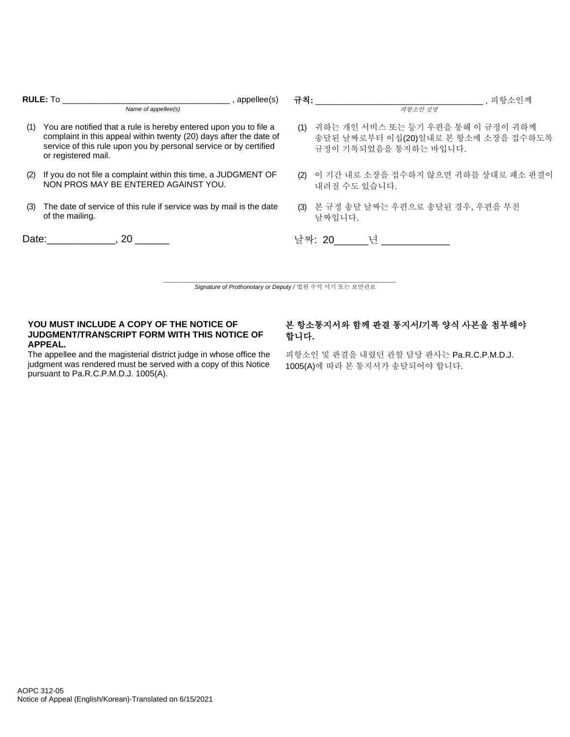| <b>RULE:</b> To and the set of the set of the set of the set of the set of the set of the set of the set of the set of the set of the set of the set of the set of the set of the set of the set of the set of the set of the set o<br>appellee(s)<br>Name of appellee(s) |                                                                                                                                                                                                                                         | , 피항소인께<br>피항소인 성명                                                                                    |
|---------------------------------------------------------------------------------------------------------------------------------------------------------------------------------------------------------------------------------------------------------------------------|-----------------------------------------------------------------------------------------------------------------------------------------------------------------------------------------------------------------------------------------|-------------------------------------------------------------------------------------------------------|
|                                                                                                                                                                                                                                                                           | (1) You are notified that a rule is hereby entered upon you to file a<br>complaint in this appeal within twenty (20) days after the date of<br>service of this rule upon you by personal service or by certified<br>or registered mail. | (1) 귀하는 개인 서비스 또는 등기 우편을 통해 이 규정이 귀하께<br>송달된 날짜로부터 이십(20)일내로 본 항소에 소장을 접수하도록<br>규정이 기록되었음을 통지하는 바입니다. |
| (2)                                                                                                                                                                                                                                                                       | If you do not file a complaint within this time, a JUDGMENT OF<br>NON PROS MAY BE ENTERED AGAINST YOU.                                                                                                                                  | (2) 이 기간 내로 소장을 접수하지 않으면 귀하를 상대로 패소 판결이<br>내려질 수도 있습니다.                                               |
| (3)                                                                                                                                                                                                                                                                       | The date of service of this rule if service was by mail is the date<br>of the mailing.                                                                                                                                                  | (3) 본 규정 송달 날짜는 우편으로 송달된 경우, 우편을 부친<br>날짜입니다.                                                         |
|                                                                                                                                                                                                                                                                           | Date: the contract of the contract of the contract of the contract of the contract of the contract of the contract of the contract of the contract of the contract of the contract of the contract of the contract of the cont<br>.20   | 날짜: 20______년 ___________                                                                             |

**\_\_\_\_\_\_\_\_\_\_\_\_\_\_\_\_\_\_\_\_\_\_\_\_\_\_\_\_\_\_\_\_\_\_\_\_\_\_\_\_\_\_\_\_\_\_\_\_\_\_** *Signature of Prothonotary or Deputy /* 법원 수석 서기 또는 보안관보

#### **YOU MUST INCLUDE A COPY OF THE NOTICE OF JUDGMENT/TRANSCRIPT FORM WITH THIS NOTICE OF APPEAL.**

The appellee and the magisterial district judge in whose office the judgment was rendered must be served with a copy of this Notice pursuant to Pa.R.C.P.M.D.J. 1005(A).

#### 본 항소통지서와 함께 판결 통지서**/**기록 양식 사본을 첨부해야 합니다**.**

피항소인 및 판결을 내렸던 관할 담당 판사는 Pa.R.C.P.M.D.J. 1005(A)에 따라 본 통지서가 송달되어야 합니다.